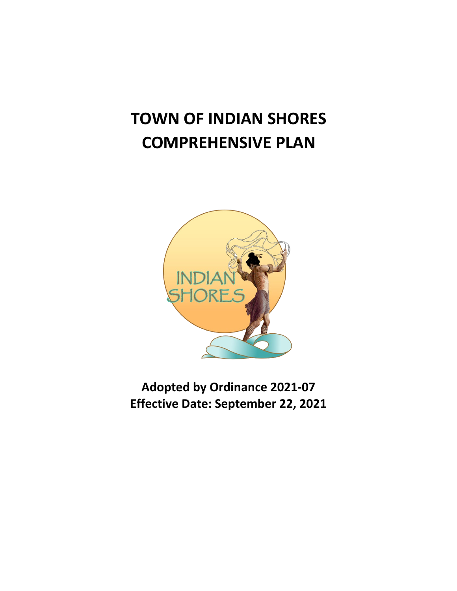# **TOWN OF INDIAN SHORES COMPREHENSIVE PLAN**



**Adopted by Ordinance 2021-07 Effective Date: September 22, 2021**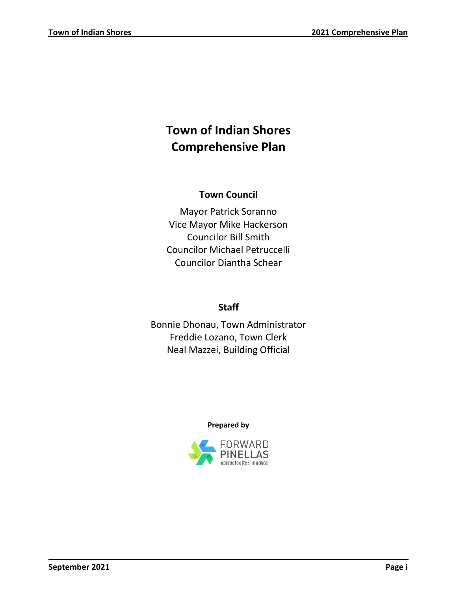# **Town of Indian Shores Comprehensive Plan**

# **Town Council**

Mayor Patrick Soranno Vice Mayor Mike Hackerson Councilor Bill Smith Councilor Michael Petruccelli Councilor Diantha Schear

# **Staff**

Bonnie Dhonau, Town Administrator Freddie Lozano, Town Clerk Neal Mazzei, Building Official

# **Prepared by**

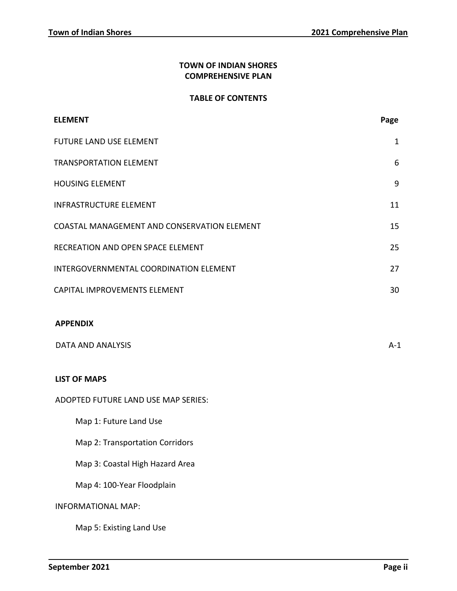# **TOWN OF INDIAN SHORES COMPREHENSIVE PLAN**

### **TABLE OF CONTENTS**

| <b>ELEMENT</b>                              | Page         |
|---------------------------------------------|--------------|
| <b>FUTURE LAND USE ELEMENT</b>              | $\mathbf{1}$ |
| <b>TRANSPORTATION ELEMENT</b>               | 6            |
| <b>HOUSING ELEMENT</b>                      | 9            |
| <b>INFRASTRUCTURE ELEMENT</b>               | 11           |
| COASTAL MANAGEMENT AND CONSERVATION ELEMENT | 15           |
| RECREATION AND OPEN SPACE ELEMENT           | 25           |
| INTERGOVERNMENTAL COORDINATION ELEMENT      | 27           |
| CAPITAL IMPROVEMENTS ELEMENT                | 30           |
| <b>APPENDIX</b><br><b>DATA AND ANALYSIS</b> | $A-1$        |
| <b>LIST OF MAPS</b>                         |              |
| ADOPTED FUTURE LAND USE MAP SERIES:         |              |
| Map 1: Future Land Use                      |              |
| Map 2: Transportation Corridors             |              |
| Map 3: Coastal High Hazard Area             |              |
| Map 4: 100-Year Floodplain                  |              |
| <b>INFORMATIONAL MAP:</b>                   |              |
| Map 5: Existing Land Use                    |              |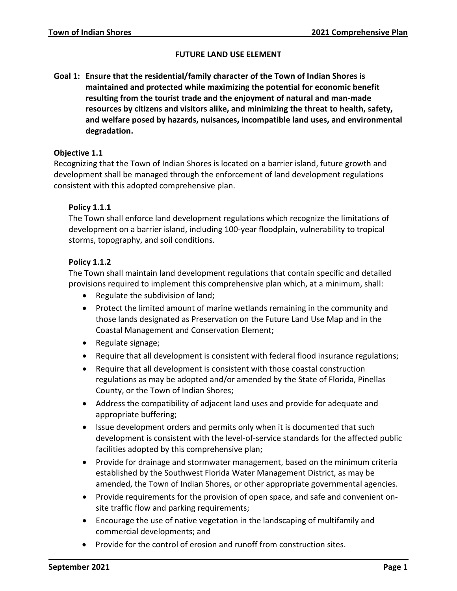### **FUTURE LAND USE ELEMENT**

<span id="page-3-0"></span>**Goal 1: Ensure that the residential/family character of the Town of Indian Shores is maintained and protected while maximizing the potential for economic benefit resulting from the tourist trade and the enjoyment of natural and man-made resources by citizens and visitors alike, and minimizing the threat to health, safety, and welfare posed by hazards, nuisances, incompatible land uses, and environmental degradation.**

### **Objective 1.1**

Recognizing that the Town of Indian Shores is located on a barrier island, future growth and development shall be managed through the enforcement of land development regulations consistent with this adopted comprehensive plan.

# **Policy 1.1.1**

The Town shall enforce land development regulations which recognize the limitations of development on a barrier island, including 100-year floodplain, vulnerability to tropical storms, topography, and soil conditions.

# **Policy 1.1.2**

The Town shall maintain land development regulations that contain specific and detailed provisions required to implement this comprehensive plan which, at a minimum, shall:

- Regulate the subdivision of land;
- Protect the limited amount of marine wetlands remaining in the community and those lands designated as Preservation on the Future Land Use Map and in the Coastal Management and Conservation Element;
- Regulate signage;
- Require that all development is consistent with federal flood insurance regulations;
- Require that all development is consistent with those coastal construction regulations as may be adopted and/or amended by the State of Florida, Pinellas County, or the Town of Indian Shores;
- Address the compatibility of adjacent land uses and provide for adequate and appropriate buffering;
- Issue development orders and permits only when it is documented that such development is consistent with the level-of-service standards for the affected public facilities adopted by this comprehensive plan;
- Provide for drainage and stormwater management, based on the minimum criteria established by the Southwest Florida Water Management District, as may be amended, the Town of Indian Shores, or other appropriate governmental agencies.
- Provide requirements for the provision of open space, and safe and convenient onsite traffic flow and parking requirements;
- Encourage the use of native vegetation in the landscaping of multifamily and commercial developments; and
- Provide for the control of erosion and runoff from construction sites.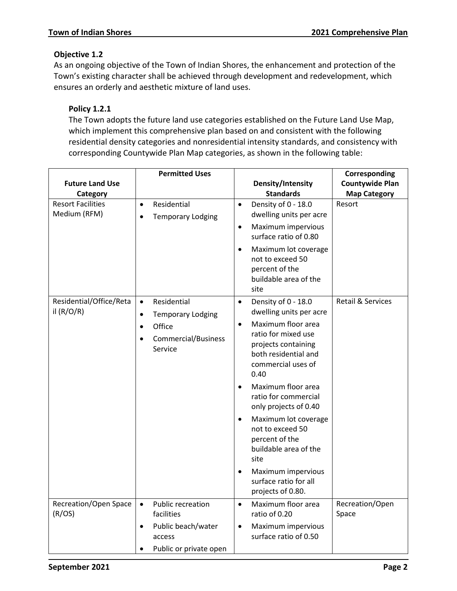# **Objective 1.2**

As an ongoing objective of the Town of Indian Shores, the enhancement and protection of the Town's existing character shall be achieved through development and redevelopment, which ensures an orderly and aesthetic mixture of land uses.

# **Policy 1.2.1**

The Town adopts the future land use categories established on the Future Land Use Map, which implement this comprehensive plan based on and consistent with the following residential density categories and nonresidential intensity standards, and consistency with corresponding Countywide Plan Map categories, as shown in the following table:

|                                                                      | <b>Permitted Uses</b>                                             |                                                                                                          | Corresponding                |
|----------------------------------------------------------------------|-------------------------------------------------------------------|----------------------------------------------------------------------------------------------------------|------------------------------|
| <b>Future Land Use</b>                                               |                                                                   | Density/Intensity                                                                                        | <b>Countywide Plan</b>       |
| Category                                                             |                                                                   | <b>Standards</b>                                                                                         | <b>Map Category</b>          |
| <b>Resort Facilities</b><br>Residential<br>$\bullet$<br>Medium (RFM) | <b>Temporary Lodging</b>                                          | Density of 0 - 18.0<br>$\bullet$<br>dwelling units per acre<br>Maximum impervious<br>$\bullet$           | Resort                       |
|                                                                      |                                                                   | surface ratio of 0.80                                                                                    |                              |
|                                                                      |                                                                   | Maximum lot coverage<br>$\bullet$<br>not to exceed 50<br>percent of the<br>buildable area of the<br>site |                              |
| Residential/Office/Reta<br>il $(R/O/R)$                              | Residential<br>$\bullet$<br><b>Temporary Lodging</b><br>$\bullet$ | Density of 0 - 18.0<br>$\bullet$<br>dwelling units per acre                                              | <b>Retail &amp; Services</b> |
|                                                                      | Office<br>$\bullet$                                               | Maximum floor area<br>$\bullet$                                                                          |                              |
|                                                                      | Commercial/Business<br>$\bullet$<br>Service                       | ratio for mixed use<br>projects containing<br>both residential and<br>commercial uses of<br>0.40         |                              |
|                                                                      |                                                                   | Maximum floor area<br>$\bullet$<br>ratio for commercial<br>only projects of 0.40                         |                              |
|                                                                      |                                                                   | Maximum lot coverage<br>$\bullet$<br>not to exceed 50<br>percent of the<br>buildable area of the<br>site |                              |
|                                                                      |                                                                   | Maximum impervious<br>$\bullet$<br>surface ratio for all<br>projects of 0.80.                            |                              |
| Recreation/Open Space<br>(R/OS)                                      | Public recreation<br>$\bullet$<br>facilities                      | Maximum floor area<br>$\bullet$<br>ratio of 0.20                                                         | Recreation/Open<br>Space     |
|                                                                      | Public beach/water<br>$\bullet$<br>access                         | Maximum impervious<br>$\bullet$<br>surface ratio of 0.50                                                 |                              |
|                                                                      | Public or private open<br>$\bullet$                               |                                                                                                          |                              |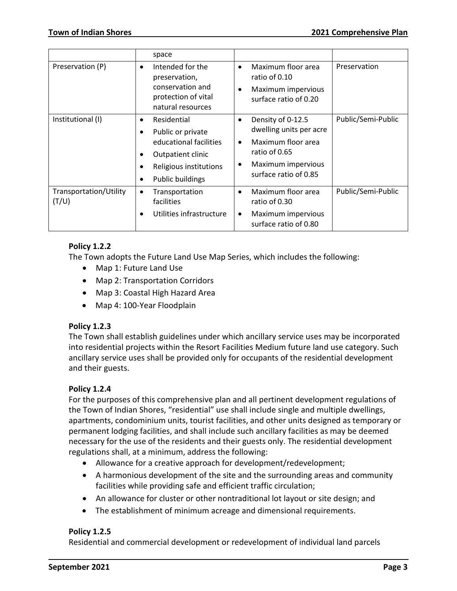|                                 | space                                                                                                                                                                          |                                                                                                                                                           |                    |
|---------------------------------|--------------------------------------------------------------------------------------------------------------------------------------------------------------------------------|-----------------------------------------------------------------------------------------------------------------------------------------------------------|--------------------|
| Preservation (P)                | Intended for the<br>$\bullet$<br>preservation,<br>conservation and<br>protection of vital<br>natural resources                                                                 | Maximum floor area<br>$\bullet$<br>ratio of 0.10<br>Maximum impervious<br>$\bullet$<br>surface ratio of 0.20                                              | Preservation       |
| Institutional (I)               | Residential<br>$\bullet$<br>Public or private<br>$\bullet$<br>educational facilities<br>Outpatient clinic<br>$\bullet$<br>Religious institutions<br>٠<br>Public buildings<br>٠ | Density of 0-12.5<br>٠<br>dwelling units per acre<br>Maximum floor area<br>$\bullet$<br>ratio of 0.65<br>Maximum impervious<br>٠<br>surface ratio of 0.85 | Public/Semi-Public |
| Transportation/Utility<br>(T/U) | Transportation<br>$\bullet$<br>facilities<br>Utilities infrastructure                                                                                                          | Maximum floor area<br>$\bullet$<br>ratio of 0.30<br>Maximum impervious<br>$\bullet$<br>surface ratio of 0.80                                              | Public/Semi-Public |

# **Policy 1.2.2**

The Town adopts the Future Land Use Map Series, which includes the following:

- Map 1: Future Land Use
- Map 2: Transportation Corridors
- Map 3: Coastal High Hazard Area
- Map 4: 100-Year Floodplain

# **Policy 1.2.3**

The Town shall establish guidelines under which ancillary service uses may be incorporated into residential projects within the Resort Facilities Medium future land use category. Such ancillary service uses shall be provided only for occupants of the residential development and their guests.

# **Policy 1.2.4**

For the purposes of this comprehensive plan and all pertinent development regulations of the Town of Indian Shores, "residential" use shall include single and multiple dwellings, apartments, condominium units, tourist facilities, and other units designed as temporary or permanent lodging facilities, and shall include such ancillary facilities as may be deemed necessary for the use of the residents and their guests only. The residential development regulations shall, at a minimum, address the following:

- Allowance for a creative approach for development/redevelopment;
- A harmonious development of the site and the surrounding areas and community facilities while providing safe and efficient traffic circulation;
- An allowance for cluster or other nontraditional lot layout or site design; and
- The establishment of minimum acreage and dimensional requirements.

# **Policy 1.2.5**

Residential and commercial development or redevelopment of individual land parcels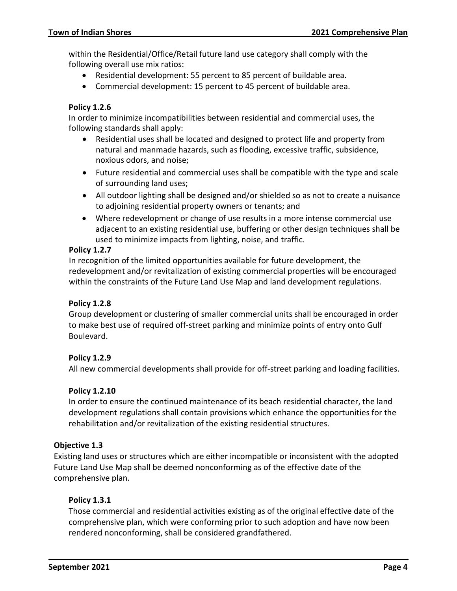within the Residential/Office/Retail future land use category shall comply with the following overall use mix ratios:

- Residential development: 55 percent to 85 percent of buildable area.
- Commercial development: 15 percent to 45 percent of buildable area.

# **Policy 1.2.6**

In order to minimize incompatibilities between residential and commercial uses, the following standards shall apply:

- Residential uses shall be located and designed to protect life and property from natural and manmade hazards, such as flooding, excessive traffic, subsidence, noxious odors, and noise;
- Future residential and commercial uses shall be compatible with the type and scale of surrounding land uses;
- All outdoor lighting shall be designed and/or shielded so as not to create a nuisance to adjoining residential property owners or tenants; and
- Where redevelopment or change of use results in a more intense commercial use adjacent to an existing residential use, buffering or other design techniques shall be used to minimize impacts from lighting, noise, and traffic.

### **Policy 1.2.7**

In recognition of the limited opportunities available for future development, the redevelopment and/or revitalization of existing commercial properties will be encouraged within the constraints of the Future Land Use Map and land development regulations.

### **Policy 1.2.8**

Group development or clustering of smaller commercial units shall be encouraged in order to make best use of required off-street parking and minimize points of entry onto Gulf Boulevard.

### **Policy 1.2.9**

All new commercial developments shall provide for off-street parking and loading facilities.

### **Policy 1.2.10**

In order to ensure the continued maintenance of its beach residential character, the land development regulations shall contain provisions which enhance the opportunities for the rehabilitation and/or revitalization of the existing residential structures.

### **Objective 1.3**

Existing land uses or structures which are either incompatible or inconsistent with the adopted Future Land Use Map shall be deemed nonconforming as of the effective date of the comprehensive plan.

### **Policy 1.3.1**

Those commercial and residential activities existing as of the original effective date of the comprehensive plan, which were conforming prior to such adoption and have now been rendered nonconforming, shall be considered grandfathered.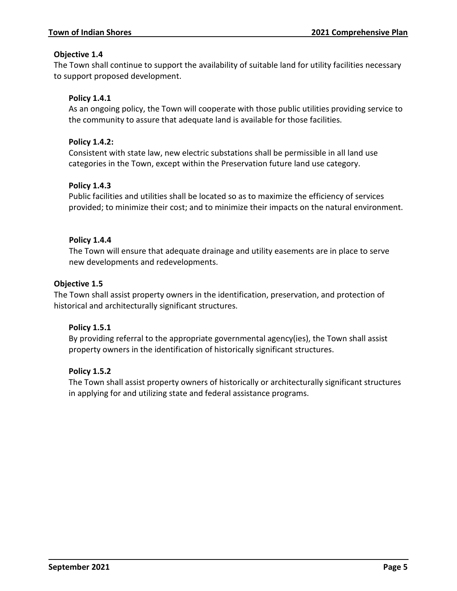# **Objective 1.4**

The Town shall continue to support the availability of suitable land for utility facilities necessary to support proposed development.

# **Policy 1.4.1**

As an ongoing policy, the Town will cooperate with those public utilities providing service to the community to assure that adequate land is available for those facilities.

### **Policy 1.4.2:**

Consistent with state law, new electric substations shall be permissible in all land use categories in the Town, except within the Preservation future land use category.

# **Policy 1.4.3**

Public facilities and utilities shall be located so as to maximize the efficiency of services provided; to minimize their cost; and to minimize their impacts on the natural environment.

# **Policy 1.4.4**

The Town will ensure that adequate drainage and utility easements are in place to serve new developments and redevelopments.

### **Objective 1.5**

The Town shall assist property owners in the identification, preservation, and protection of historical and architecturally significant structures.

# **Policy 1.5.1**

By providing referral to the appropriate governmental agency(ies), the Town shall assist property owners in the identification of historically significant structures.

### **Policy 1.5.2**

The Town shall assist property owners of historically or architecturally significant structures in applying for and utilizing state and federal assistance programs.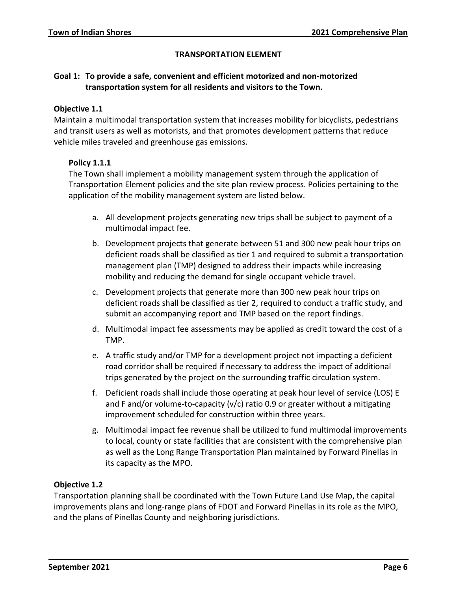# **TRANSPORTATION ELEMENT**

# <span id="page-8-0"></span>**Goal 1: To provide a safe, convenient and efficient motorized and non-motorized transportation system for all residents and visitors to the Town.**

### **Objective 1.1**

Maintain a multimodal transportation system that increases mobility for bicyclists, pedestrians and transit users as well as motorists, and that promotes development patterns that reduce vehicle miles traveled and greenhouse gas emissions.

### **Policy 1.1.1**

The Town shall implement a mobility management system through the application of Transportation Element policies and the site plan review process. Policies pertaining to the application of the mobility management system are listed below.

- a. All development projects generating new trips shall be subject to payment of a multimodal impact fee.
- b. Development projects that generate between 51 and 300 new peak hour trips on deficient roads shall be classified as tier 1 and required to submit a transportation management plan (TMP) designed to address their impacts while increasing mobility and reducing the demand for single occupant vehicle travel.
- c. Development projects that generate more than 300 new peak hour trips on deficient roads shall be classified as tier 2, required to conduct a traffic study, and submit an accompanying report and TMP based on the report findings.
- d. Multimodal impact fee assessments may be applied as credit toward the cost of a TMP.
- e. A traffic study and/or TMP for a development project not impacting a deficient road corridor shall be required if necessary to address the impact of additional trips generated by the project on the surrounding traffic circulation system.
- f. Deficient roads shall include those operating at peak hour level of service (LOS) E and F and/or volume-to-capacity (v/c) ratio 0.9 or greater without a mitigating improvement scheduled for construction within three years.
- g. Multimodal impact fee revenue shall be utilized to fund multimodal improvements to local, county or state facilities that are consistent with the comprehensive plan as well as the Long Range Transportation Plan maintained by Forward Pinellas in its capacity as the MPO.

# **Objective 1.2**

Transportation planning shall be coordinated with the Town Future Land Use Map, the capital improvements plans and long-range plans of FDOT and Forward Pinellas in its role as the MPO, and the plans of Pinellas County and neighboring jurisdictions.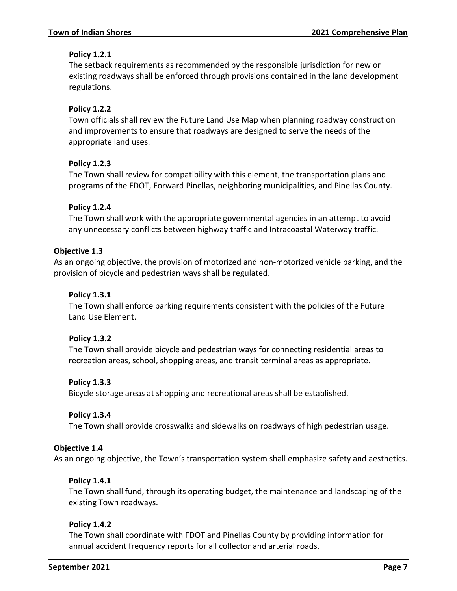# **Policy 1.2.1**

The setback requirements as recommended by the responsible jurisdiction for new or existing roadways shall be enforced through provisions contained in the land development regulations.

# **Policy 1.2.2**

Town officials shall review the Future Land Use Map when planning roadway construction and improvements to ensure that roadways are designed to serve the needs of the appropriate land uses.

# **Policy 1.2.3**

The Town shall review for compatibility with this element, the transportation plans and programs of the FDOT, Forward Pinellas, neighboring municipalities, and Pinellas County.

# **Policy 1.2.4**

The Town shall work with the appropriate governmental agencies in an attempt to avoid any unnecessary conflicts between highway traffic and Intracoastal Waterway traffic.

# **Objective 1.3**

As an ongoing objective, the provision of motorized and non-motorized vehicle parking, and the provision of bicycle and pedestrian ways shall be regulated.

# **Policy 1.3.1**

The Town shall enforce parking requirements consistent with the policies of the Future Land Use Element.

### **Policy 1.3.2**

The Town shall provide bicycle and pedestrian ways for connecting residential areas to recreation areas, school, shopping areas, and transit terminal areas as appropriate.

# **Policy 1.3.3**

Bicycle storage areas at shopping and recreational areas shall be established.

### **Policy 1.3.4**

The Town shall provide crosswalks and sidewalks on roadways of high pedestrian usage.

### **Objective 1.4**

As an ongoing objective, the Town's transportation system shall emphasize safety and aesthetics.

### **Policy 1.4.1**

The Town shall fund, through its operating budget, the maintenance and landscaping of the existing Town roadways.

### **Policy 1.4.2**

The Town shall coordinate with FDOT and Pinellas County by providing information for annual accident frequency reports for all collector and arterial roads.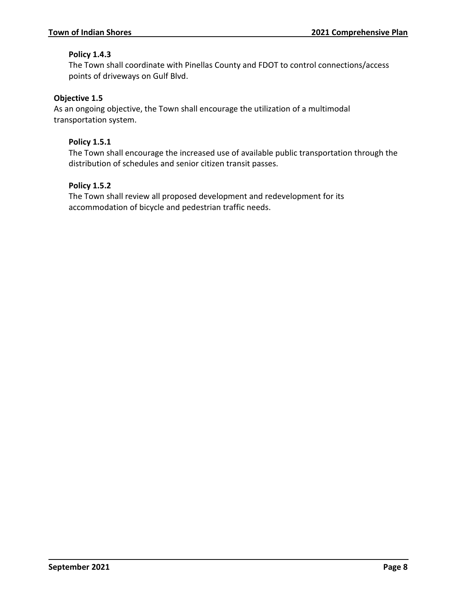# **Policy 1.4.3**

The Town shall coordinate with Pinellas County and FDOT to control connections/access points of driveways on Gulf Blvd.

# **Objective 1.5**

As an ongoing objective, the Town shall encourage the utilization of a multimodal transportation system.

### **Policy 1.5.1**

The Town shall encourage the increased use of available public transportation through the distribution of schedules and senior citizen transit passes.

# **Policy 1.5.2**

The Town shall review all proposed development and redevelopment for its accommodation of bicycle and pedestrian traffic needs.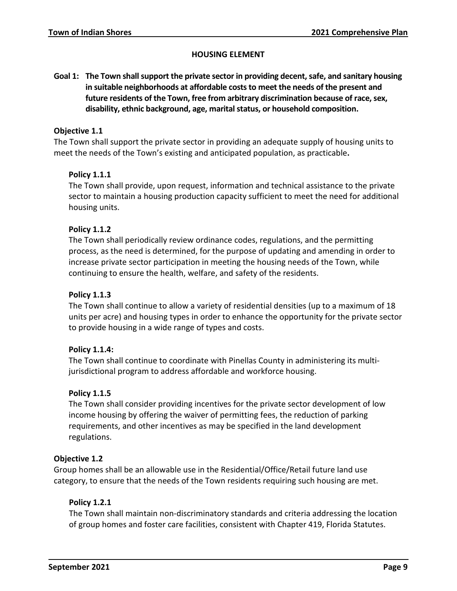### **HOUSING ELEMENT**

<span id="page-11-0"></span>**Goal 1: The Town shall support the private sector in providing decent, safe, and sanitary housing in suitable neighborhoods at affordable costs to meet the needs of the present and future residents of the Town, free from arbitrary discrimination because of race, sex, disability, ethnic background, age, marital status, or household composition.**

# **Objective 1.1**

The Town shall support the private sector in providing an adequate supply of housing units to meet the needs of the Town's existing and anticipated population, as practicable**.**

# **Policy 1.1.1**

The Town shall provide, upon request, information and technical assistance to the private sector to maintain a housing production capacity sufficient to meet the need for additional housing units.

# **Policy 1.1.2**

The Town shall periodically review ordinance codes, regulations, and the permitting process, as the need is determined, for the purpose of updating and amending in order to increase private sector participation in meeting the housing needs of the Town, while continuing to ensure the health, welfare, and safety of the residents.

### **Policy 1.1.3**

The Town shall continue to allow a variety of residential densities (up to a maximum of 18 units per acre) and housing types in order to enhance the opportunity for the private sector to provide housing in a wide range of types and costs.

### **Policy 1.1.4:**

The Town shall continue to coordinate with Pinellas County in administering its multijurisdictional program to address affordable and workforce housing.

### **Policy 1.1.5**

The Town shall consider providing incentives for the private sector development of low income housing by offering the waiver of permitting fees, the reduction of parking requirements, and other incentives as may be specified in the land development regulations.

### **Objective 1.2**

Group homes shall be an allowable use in the Residential/Office/Retail future land use category, to ensure that the needs of the Town residents requiring such housing are met.

### **Policy 1.2.1**

The Town shall maintain non-discriminatory standards and criteria addressing the location of group homes and foster care facilities, consistent with Chapter 419, Florida Statutes.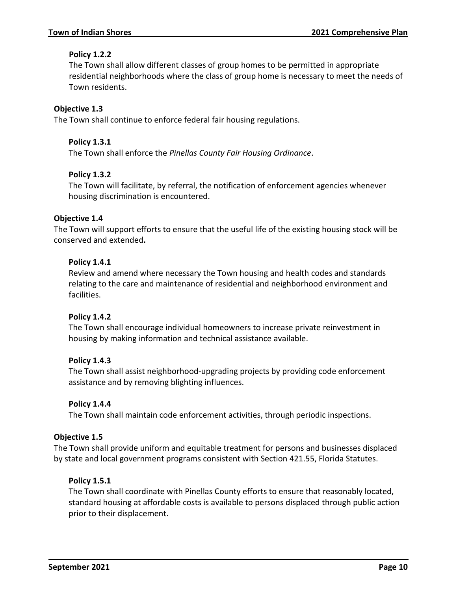# **Policy 1.2.2**

The Town shall allow different classes of group homes to be permitted in appropriate residential neighborhoods where the class of group home is necessary to meet the needs of Town residents.

# **Objective 1.3**

The Town shall continue to enforce federal fair housing regulations.

### **Policy 1.3.1**

The Town shall enforce the *Pinellas County Fair Housing Ordinance*.

# **Policy 1.3.2**

The Town will facilitate, by referral, the notification of enforcement agencies whenever housing discrimination is encountered.

# **Objective 1.4**

The Town will support efforts to ensure that the useful life of the existing housing stock will be conserved and extended**.**

# **Policy 1.4.1**

Review and amend where necessary the Town housing and health codes and standards relating to the care and maintenance of residential and neighborhood environment and facilities.

### **Policy 1.4.2**

The Town shall encourage individual homeowners to increase private reinvestment in housing by making information and technical assistance available.

### **Policy 1.4.3**

The Town shall assist neighborhood-upgrading projects by providing code enforcement assistance and by removing blighting influences.

### **Policy 1.4.4**

The Town shall maintain code enforcement activities, through periodic inspections.

### **Objective 1.5**

The Town shall provide uniform and equitable treatment for persons and businesses displaced by state and local government programs consistent with Section 421.55, Florida Statutes.

# **Policy 1.5.1**

The Town shall coordinate with Pinellas County efforts to ensure that reasonably located, standard housing at affordable costs is available to persons displaced through public action prior to their displacement.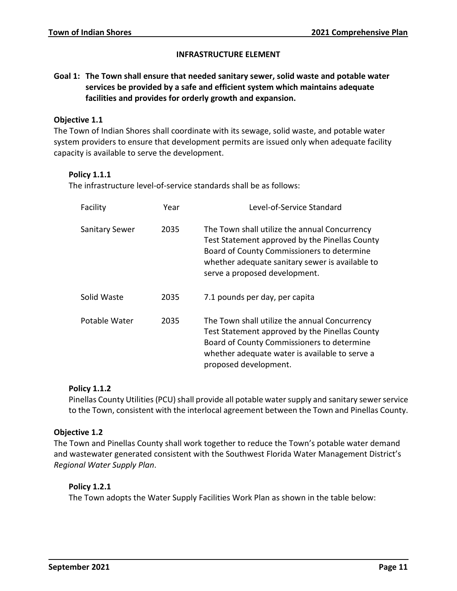### **INFRASTRUCTURE ELEMENT**

# **Goal 1: The Town shall ensure that needed sanitary sewer, solid waste and potable water services be provided by a safe and efficient system which maintains adequate facilities and provides for orderly growth and expansion.**

### **Objective 1.1**

The Town of Indian Shores shall coordinate with its sewage, solid waste, and potable water system providers to ensure that development permits are issued only when adequate facility capacity is available to serve the development.

### **Policy 1.1.1**

The infrastructure level-of-service standards shall be as follows:

| Facility              | Year | Level-of-Service Standard                                                                                                                                                                                                         |
|-----------------------|------|-----------------------------------------------------------------------------------------------------------------------------------------------------------------------------------------------------------------------------------|
| <b>Sanitary Sewer</b> | 2035 | The Town shall utilize the annual Concurrency<br>Test Statement approved by the Pinellas County<br>Board of County Commissioners to determine<br>whether adequate sanitary sewer is available to<br>serve a proposed development. |
| Solid Waste           | 2035 | 7.1 pounds per day, per capita                                                                                                                                                                                                    |
| Potable Water         | 2035 | The Town shall utilize the annual Concurrency<br>Test Statement approved by the Pinellas County<br>Board of County Commissioners to determine<br>whether adequate water is available to serve a<br>proposed development.          |

### **Policy 1.1.2**

Pinellas County Utilities (PCU) shall provide all potable water supply and sanitary sewer service to the Town, consistent with the interlocal agreement between the Town and Pinellas County.

### **Objective 1.2**

The Town and Pinellas County shall work together to reduce the Town's potable water demand and wastewater generated consistent with the Southwest Florida Water Management District's *Regional Water Supply Plan*.

### **Policy 1.2.1**

The Town adopts the Water Supply Facilities Work Plan as shown in the table below: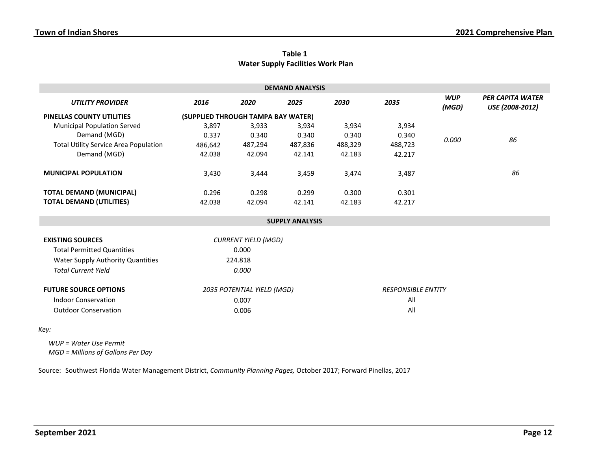|                                          | Table 1 |  |
|------------------------------------------|---------|--|
| <b>Water Supply Facilities Work Plan</b> |         |  |

| <b>DEMAND ANALYSIS</b>                       |                                    |         |         |         |         |                     |                                            |
|----------------------------------------------|------------------------------------|---------|---------|---------|---------|---------------------|--------------------------------------------|
| <b>UTILITY PROVIDER</b>                      | 2016                               | 2020    | 2025    | 2030    | 2035    | <b>WUP</b><br>(MGD) | <b>PER CAPITA WATER</b><br>USE (2008-2012) |
| <b>PINELLAS COUNTY UTILITIES</b>             | (SUPPLIED THROUGH TAMPA BAY WATER) |         |         |         |         |                     |                                            |
| <b>Municipal Population Served</b>           | 3,897                              | 3,933   | 3,934   | 3,934   | 3,934   |                     |                                            |
| Demand (MGD)                                 | 0.337                              | 0.340   | 0.340   | 0.340   | 0.340   | 0.000               | 86                                         |
| <b>Total Utility Service Area Population</b> | 486.642                            | 487,294 | 487,836 | 488,329 | 488,723 |                     |                                            |
| Demand (MGD)                                 | 42.038                             | 42.094  | 42.141  | 42.183  | 42.217  |                     |                                            |
| <b>MUNICIPAL POPULATION</b>                  | 3,430                              | 3,444   | 3,459   | 3,474   | 3,487   |                     | 86                                         |
| <b>TOTAL DEMAND (MUNICIPAL)</b>              | 0.296                              | 0.298   | 0.299   | 0.300   | 0.301   |                     |                                            |
| <b>TOTAL DEMAND (UTILITIES)</b>              | 42.038                             | 42.094  | 42.141  | 42.183  | 42.217  |                     |                                            |

#### **SUPPLY ANALYSIS**

| <b>EXISTING SOURCES</b>           | <b>CURRENT YIELD (MGD)</b> |                           |  |  |
|-----------------------------------|----------------------------|---------------------------|--|--|
| <b>Total Permitted Quantities</b> | 0.000                      |                           |  |  |
| Water Supply Authority Quantities | 224.818                    |                           |  |  |
| <b>Total Current Yield</b>        | 0.000                      |                           |  |  |
| <b>FUTURE SOURCE OPTIONS</b>      | 2035 POTENTIAL YIELD (MGD) | <b>RESPONSIBLE ENTITY</b> |  |  |
| Indoor Conservation               | 0.007                      | All                       |  |  |
| <b>Outdoor Conservation</b>       | 0.006                      | All                       |  |  |

### *Key:*

*WUP = Water Use Permit MGD = Millions of Gallons Per Day*

Source: Southwest Florida Water Management District, *Community Planning Pages,* October 2017; Forward Pinellas, 2017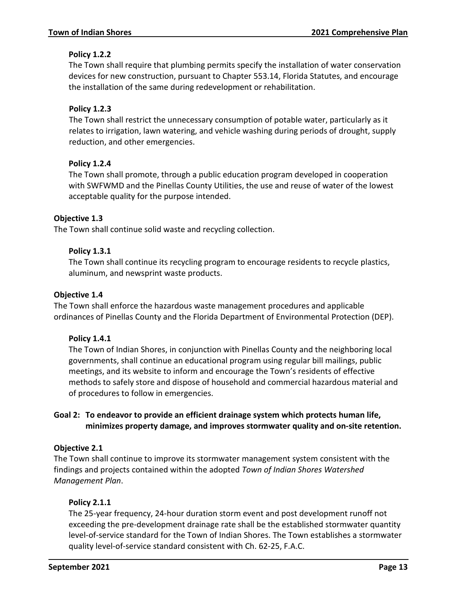# **Policy 1.2.2**

The Town shall require that plumbing permits specify the installation of water conservation devices for new construction, pursuant to Chapter 553.14, Florida Statutes, and encourage the installation of the same during redevelopment or rehabilitation.

# **Policy 1.2.3**

The Town shall restrict the unnecessary consumption of potable water, particularly as it relates to irrigation, lawn watering, and vehicle washing during periods of drought, supply reduction, and other emergencies.

# **Policy 1.2.4**

The Town shall promote, through a public education program developed in cooperation with SWFWMD and the Pinellas County Utilities, the use and reuse of water of the lowest acceptable quality for the purpose intended.

### **Objective 1.3**

The Town shall continue solid waste and recycling collection.

# **Policy 1.3.1**

The Town shall continue its recycling program to encourage residents to recycle plastics, aluminum, and newsprint waste products.

### **Objective 1.4**

The Town shall enforce the hazardous waste management procedures and applicable ordinances of Pinellas County and the Florida Department of Environmental Protection (DEP).

### **Policy 1.4.1**

The Town of Indian Shores, in conjunction with Pinellas County and the neighboring local governments, shall continue an educational program using regular bill mailings, public meetings, and its website to inform and encourage the Town's residents of effective methods to safely store and dispose of household and commercial hazardous material and of procedures to follow in emergencies.

# **Goal 2: To endeavor to provide an efficient drainage system which protects human life, minimizes property damage, and improves stormwater quality and on-site retention.**

### **Objective 2.1**

The Town shall continue to improve its stormwater management system consistent with the findings and projects contained within the adopted *Town of Indian Shores Watershed Management Plan*.

# **Policy 2.1.1**

The 25-year frequency, 24-hour duration storm event and post development runoff not exceeding the pre-development drainage rate shall be the established stormwater quantity level-of-service standard for the Town of Indian Shores. The Town establishes a stormwater quality level-of-service standard consistent with Ch. 62-25, F.A.C.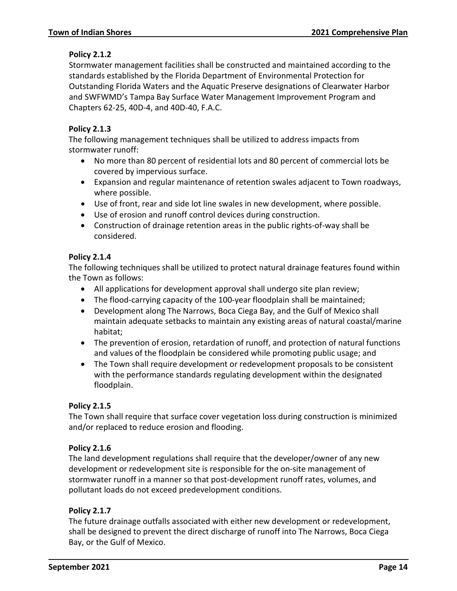# **Policy 2.1.2**

Stormwater management facilities shall be constructed and maintained according to the standards established by the Florida Department of Environmental Protection for Outstanding Florida Waters and the Aquatic Preserve designations of Clearwater Harbor and SWFWMD's Tampa Bay Surface Water Management Improvement Program and Chapters 62-25, 40D-4, and 40D-40, F.A.C.

# **Policy 2.1.3**

The following management techniques shall be utilized to address impacts from stormwater runoff:

- No more than 80 percent of residential lots and 80 percent of commercial lots be covered by impervious surface.
- Expansion and regular maintenance of retention swales adjacent to Town roadways, where possible.
- Use of front, rear and side lot line swales in new development, where possible.
- Use of erosion and runoff control devices during construction.
- Construction of drainage retention areas in the public rights-of-way shall be considered.

# **Policy 2.1.4**

The following techniques shall be utilized to protect natural drainage features found within the Town as follows:

- All applications for development approval shall undergo site plan review;
- The flood-carrying capacity of the 100-year floodplain shall be maintained;
- Development along The Narrows, Boca Ciega Bay, and the Gulf of Mexico shall maintain adequate setbacks to maintain any existing areas of natural coastal/marine habitat;
- The prevention of erosion, retardation of runoff, and protection of natural functions and values of the floodplain be considered while promoting public usage; and
- The Town shall require development or redevelopment proposals to be consistent with the performance standards regulating development within the designated floodplain.

### **Policy 2.1.5**

The Town shall require that surface cover vegetation loss during construction is minimized and/or replaced to reduce erosion and flooding.

### **Policy 2.1.6**

The land development regulations shall require that the developer/owner of any new development or redevelopment site is responsible for the on-site management of stormwater runoff in a manner so that post-development runoff rates, volumes, and pollutant loads do not exceed predevelopment conditions.

### **Policy 2.1.7**

The future drainage outfalls associated with either new development or redevelopment, shall be designed to prevent the direct discharge of runoff into The Narrows, Boca Ciega Bay, or the Gulf of Mexico.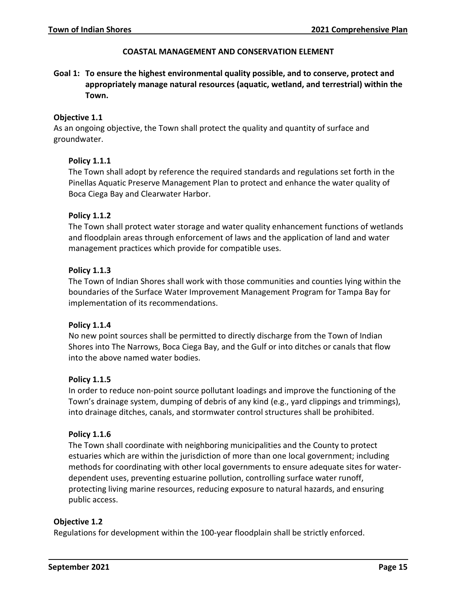### **COASTAL MANAGEMENT AND CONSERVATION ELEMENT**

<span id="page-17-0"></span>**Goal 1: To ensure the highest environmental quality possible, and to conserve, protect and appropriately manage natural resources (aquatic, wetland, and terrestrial) within the Town.**

### **Objective 1.1**

As an ongoing objective, the Town shall protect the quality and quantity of surface and groundwater.

### **Policy 1.1.1**

The Town shall adopt by reference the required standards and regulations set forth in the Pinellas Aquatic Preserve Management Plan to protect and enhance the water quality of Boca Ciega Bay and Clearwater Harbor.

### **Policy 1.1.2**

The Town shall protect water storage and water quality enhancement functions of wetlands and floodplain areas through enforcement of laws and the application of land and water management practices which provide for compatible uses.

### **Policy 1.1.3**

The Town of Indian Shores shall work with those communities and counties lying within the boundaries of the Surface Water Improvement Management Program for Tampa Bay for implementation of its recommendations.

### **Policy 1.1.4**

No new point sources shall be permitted to directly discharge from the Town of Indian Shores into The Narrows, Boca Ciega Bay, and the Gulf or into ditches or canals that flow into the above named water bodies.

### **Policy 1.1.5**

In order to reduce non-point source pollutant loadings and improve the functioning of the Town's drainage system, dumping of debris of any kind (e.g., yard clippings and trimmings), into drainage ditches, canals, and stormwater control structures shall be prohibited.

### **Policy 1.1.6**

The Town shall coordinate with neighboring municipalities and the County to protect estuaries which are within the jurisdiction of more than one local government; including methods for coordinating with other local governments to ensure adequate sites for waterdependent uses, preventing estuarine pollution, controlling surface water runoff, protecting living marine resources, reducing exposure to natural hazards, and ensuring public access.

### **Objective 1.2**

Regulations for development within the 100-year floodplain shall be strictly enforced.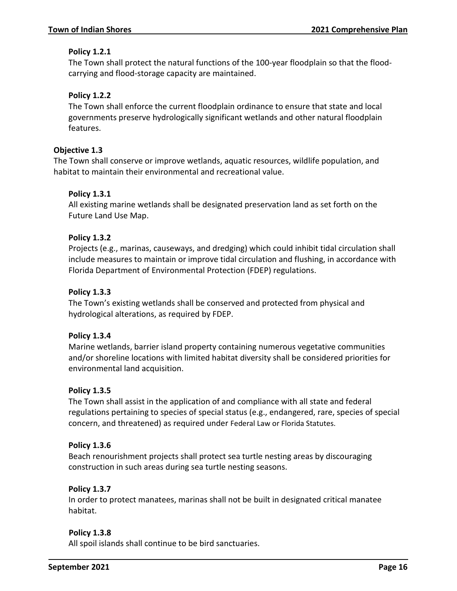# **Policy 1.2.1**

The Town shall protect the natural functions of the 100-year floodplain so that the floodcarrying and flood-storage capacity are maintained.

# **Policy 1.2.2**

The Town shall enforce the current floodplain ordinance to ensure that state and local governments preserve hydrologically significant wetlands and other natural floodplain features.

# **Objective 1.3**

The Town shall conserve or improve wetlands, aquatic resources, wildlife population, and habitat to maintain their environmental and recreational value.

# **Policy 1.3.1**

All existing marine wetlands shall be designated preservation land as set forth on the Future Land Use Map.

# **Policy 1.3.2**

Projects (e.g., marinas, causeways, and dredging) which could inhibit tidal circulation shall include measures to maintain or improve tidal circulation and flushing, in accordance with Florida Department of Environmental Protection (FDEP) regulations.

# **Policy 1.3.3**

The Town's existing wetlands shall be conserved and protected from physical and hydrological alterations, as required by FDEP.

# **Policy 1.3.4**

Marine wetlands, barrier island property containing numerous vegetative communities and/or shoreline locations with limited habitat diversity shall be considered priorities for environmental land acquisition.

# **Policy 1.3.5**

The Town shall assist in the application of and compliance with all state and federal regulations pertaining to species of special status (e.g., endangered, rare, species of special concern, and threatened) as required under Federal Law or Florida Statutes.

# **Policy 1.3.6**

Beach renourishment projects shall protect sea turtle nesting areas by discouraging construction in such areas during sea turtle nesting seasons.

# **Policy 1.3.7**

In order to protect manatees, marinas shall not be built in designated critical manatee habitat.

# **Policy 1.3.8**

All spoil islands shall continue to be bird sanctuaries.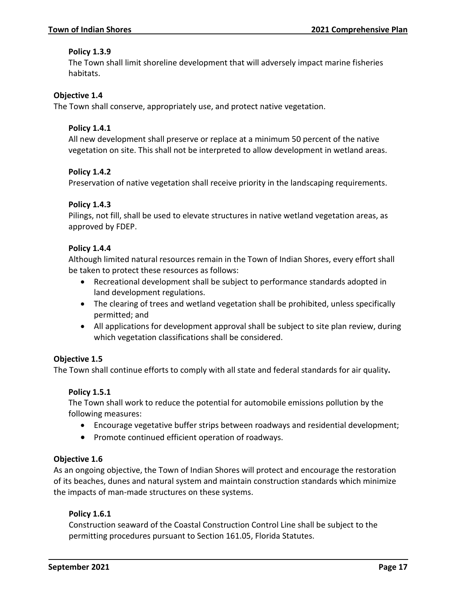# **Policy 1.3.9**

The Town shall limit shoreline development that will adversely impact marine fisheries habitats.

# **Objective 1.4**

The Town shall conserve, appropriately use, and protect native vegetation.

# **Policy 1.4.1**

All new development shall preserve or replace at a minimum 50 percent of the native vegetation on site. This shall not be interpreted to allow development in wetland areas.

# **Policy 1.4.2**

Preservation of native vegetation shall receive priority in the landscaping requirements.

# **Policy 1.4.3**

Pilings, not fill, shall be used to elevate structures in native wetland vegetation areas, as approved by FDEP.

# **Policy 1.4.4**

Although limited natural resources remain in the Town of Indian Shores, every effort shall be taken to protect these resources as follows:

- Recreational development shall be subject to performance standards adopted in land development regulations.
- The clearing of trees and wetland vegetation shall be prohibited, unless specifically permitted; and
- All applications for development approval shall be subject to site plan review, during which vegetation classifications shall be considered.

### **Objective 1.5**

The Town shall continue efforts to comply with all state and federal standards for air quality**.**

### **Policy 1.5.1**

The Town shall work to reduce the potential for automobile emissions pollution by the following measures:

- Encourage vegetative buffer strips between roadways and residential development;
- Promote continued efficient operation of roadways.

### **Objective 1.6**

As an ongoing objective, the Town of Indian Shores will protect and encourage the restoration of its beaches, dunes and natural system and maintain construction standards which minimize the impacts of man-made structures on these systems.

### **Policy 1.6.1**

Construction seaward of the Coastal Construction Control Line shall be subject to the permitting procedures pursuant to Section 161.05, Florida Statutes.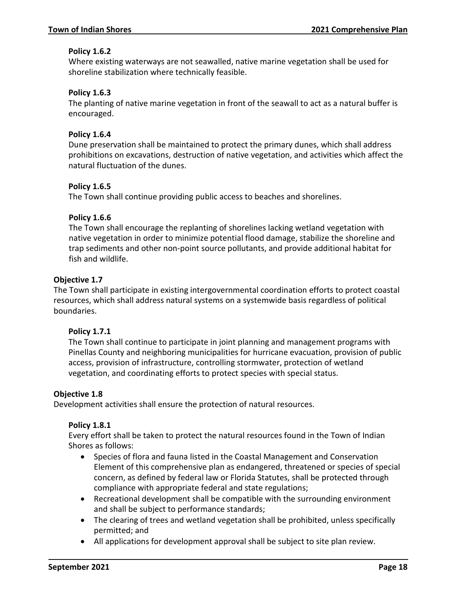# **Policy 1.6.2**

Where existing waterways are not seawalled, native marine vegetation shall be used for shoreline stabilization where technically feasible.

# **Policy 1.6.3**

The planting of native marine vegetation in front of the seawall to act as a natural buffer is encouraged.

# **Policy 1.6.4**

Dune preservation shall be maintained to protect the primary dunes, which shall address prohibitions on excavations, destruction of native vegetation, and activities which affect the natural fluctuation of the dunes.

# **Policy 1.6.5**

The Town shall continue providing public access to beaches and shorelines.

# **Policy 1.6.6**

The Town shall encourage the replanting of shorelines lacking wetland vegetation with native vegetation in order to minimize potential flood damage, stabilize the shoreline and trap sediments and other non-point source pollutants, and provide additional habitat for fish and wildlife.

### **Objective 1.7**

The Town shall participate in existing intergovernmental coordination efforts to protect coastal resources, which shall address natural systems on a systemwide basis regardless of political boundaries.

### **Policy 1.7.1**

The Town shall continue to participate in joint planning and management programs with Pinellas County and neighboring municipalities for hurricane evacuation, provision of public access, provision of infrastructure, controlling stormwater, protection of wetland vegetation, and coordinating efforts to protect species with special status.

### **Objective 1.8**

Development activities shall ensure the protection of natural resources.

### **Policy 1.8.1**

Every effort shall be taken to protect the natural resources found in the Town of Indian Shores as follows:

- Species of flora and fauna listed in the Coastal Management and Conservation Element of this comprehensive plan as endangered, threatened or species of special concern, as defined by federal law or Florida Statutes, shall be protected through compliance with appropriate federal and state regulations;
- Recreational development shall be compatible with the surrounding environment and shall be subject to performance standards;
- The clearing of trees and wetland vegetation shall be prohibited, unless specifically permitted; and
- All applications for development approval shall be subject to site plan review.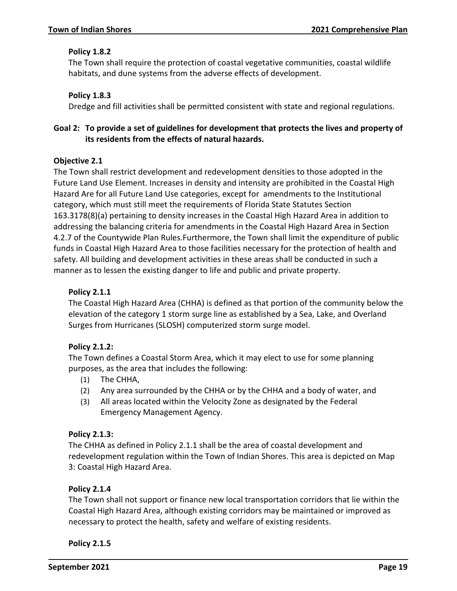# **Policy 1.8.2**

The Town shall require the protection of coastal vegetative communities, coastal wildlife habitats, and dune systems from the adverse effects of development.

# **Policy 1.8.3**

Dredge and fill activities shall be permitted consistent with state and regional regulations.

# **Goal 2: To provide a set of guidelines for development that protects the lives and property of its residents from the effects of natural hazards.**

# **Objective 2.1**

The Town shall restrict development and redevelopment densities to those adopted in the Future Land Use Element. Increases in density and intensity are prohibited in the Coastal High Hazard Are for all Future Land Use categories, except for amendments to the Institutional category, which must still meet the requirements of Florida State Statutes Section 163.3178(8)(a) pertaining to density increases in the Coastal High Hazard Area in addition to addressing the balancing criteria for amendments in the Coastal High Hazard Area in Section 4.2.7 of the Countywide Plan Rules.Furthermore, the Town shall limit the expenditure of public funds in Coastal High Hazard Area to those facilities necessary for the protection of health and safety. All building and development activities in these areas shall be conducted in such a manner as to lessen the existing danger to life and public and private property.

# **Policy 2.1.1**

The Coastal High Hazard Area (CHHA) is defined as that portion of the community below the elevation of the category 1 storm surge line as established by a Sea, Lake, and Overland Surges from Hurricanes (SLOSH) computerized storm surge model.

# **Policy 2.1.2:**

The Town defines a Coastal Storm Area, which it may elect to use for some planning purposes, as the area that includes the following:

- (1) The CHHA,
- (2) Any area surrounded by the CHHA or by the CHHA and a body of water, and
- (3) All areas located within the Velocity Zone as designated by the Federal Emergency Management Agency.

# **Policy 2.1.3:**

The CHHA as defined in Policy 2.1.1 shall be the area of coastal development and redevelopment regulation within the Town of Indian Shores. This area is depicted on Map 3: Coastal High Hazard Area.

# **Policy 2.1.4**

The Town shall not support or finance new local transportation corridors that lie within the Coastal High Hazard Area, although existing corridors may be maintained or improved as necessary to protect the health, safety and welfare of existing residents.

**Policy 2.1.5**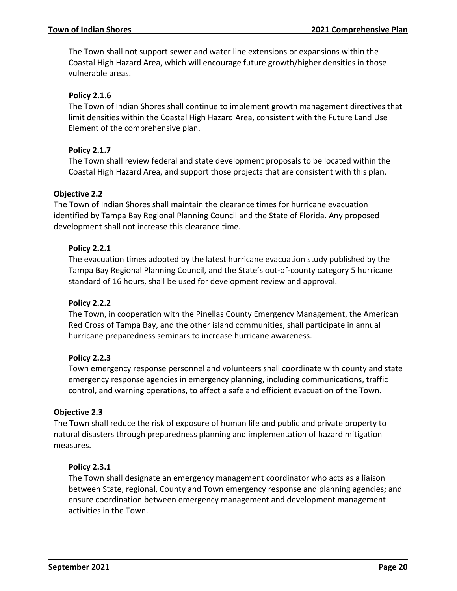The Town shall not support sewer and water line extensions or expansions within the Coastal High Hazard Area, which will encourage future growth/higher densities in those vulnerable areas.

# **Policy 2.1.6**

The Town of Indian Shores shall continue to implement growth management directives that limit densities within the Coastal High Hazard Area, consistent with the Future Land Use Element of the comprehensive plan.

# **Policy 2.1.7**

The Town shall review federal and state development proposals to be located within the Coastal High Hazard Area, and support those projects that are consistent with this plan.

# **Objective 2.2**

The Town of Indian Shores shall maintain the clearance times for hurricane evacuation identified by Tampa Bay Regional Planning Council and the State of Florida. Any proposed development shall not increase this clearance time.

# **Policy 2.2.1**

The evacuation times adopted by the latest hurricane evacuation study published by the Tampa Bay Regional Planning Council, and the State's out-of-county category 5 hurricane standard of 16 hours, shall be used for development review and approval.

# **Policy 2.2.2**

The Town, in cooperation with the Pinellas County Emergency Management, the American Red Cross of Tampa Bay, and the other island communities, shall participate in annual hurricane preparedness seminars to increase hurricane awareness.

# **Policy 2.2.3**

Town emergency response personnel and volunteers shall coordinate with county and state emergency response agencies in emergency planning, including communications, traffic control, and warning operations, to affect a safe and efficient evacuation of the Town.

# **Objective 2.3**

The Town shall reduce the risk of exposure of human life and public and private property to natural disasters through preparedness planning and implementation of hazard mitigation measures.

# **Policy 2.3.1**

The Town shall designate an emergency management coordinator who acts as a liaison between State, regional, County and Town emergency response and planning agencies; and ensure coordination between emergency management and development management activities in the Town.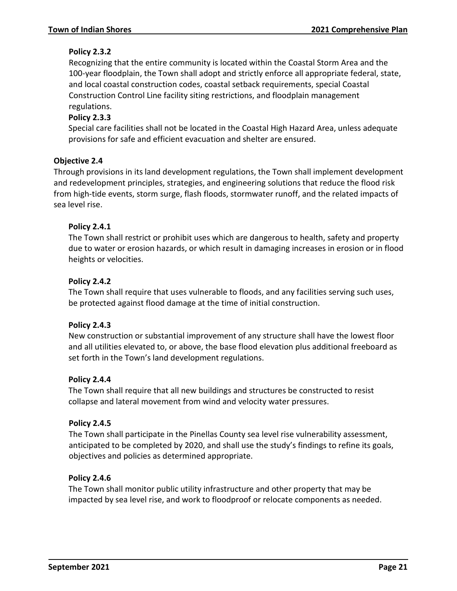# **Policy 2.3.2**

Recognizing that the entire community is located within the Coastal Storm Area and the 100-year floodplain, the Town shall adopt and strictly enforce all appropriate federal, state, and local coastal construction codes, coastal setback requirements, special Coastal Construction Control Line facility siting restrictions, and floodplain management regulations.

# **Policy 2.3.3**

Special care facilities shall not be located in the Coastal High Hazard Area, unless adequate provisions for safe and efficient evacuation and shelter are ensured.

# **Objective 2.4**

Through provisions in its land development regulations, the Town shall implement development and redevelopment principles, strategies, and engineering solutions that reduce the flood risk from high-tide events, storm surge, flash floods, stormwater runoff, and the related impacts of sea level rise.

# **Policy 2.4.1**

The Town shall restrict or prohibit uses which are dangerous to health, safety and property due to water or erosion hazards, or which result in damaging increases in erosion or in flood heights or velocities.

# **Policy 2.4.2**

The Town shall require that uses vulnerable to floods, and any facilities serving such uses, be protected against flood damage at the time of initial construction.

### **Policy 2.4.3**

New construction or substantial improvement of any structure shall have the lowest floor and all utilities elevated to, or above, the base flood elevation plus additional freeboard as set forth in the Town's land development regulations.

### **Policy 2.4.4**

The Town shall require that all new buildings and structures be constructed to resist collapse and lateral movement from wind and velocity water pressures.

### **Policy 2.4.5**

The Town shall participate in the Pinellas County sea level rise vulnerability assessment, anticipated to be completed by 2020, and shall use the study's findings to refine its goals, objectives and policies as determined appropriate.

### **Policy 2.4.6**

The Town shall monitor public utility infrastructure and other property that may be impacted by sea level rise, and work to floodproof or relocate components as needed.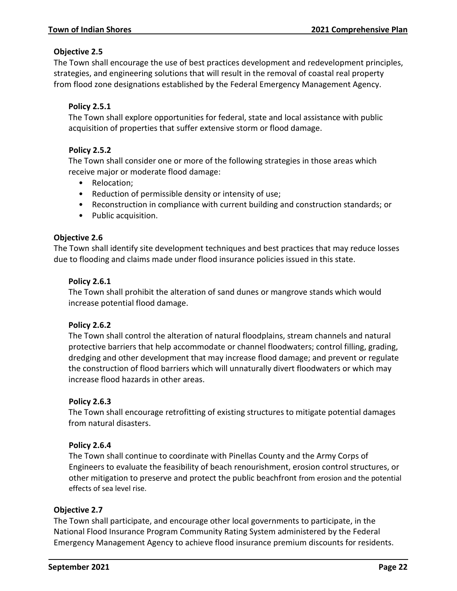# **Objective 2.5**

The Town shall encourage the use of best practices development and redevelopment principles, strategies, and engineering solutions that will result in the removal of coastal real property from flood zone designations established by the Federal Emergency Management Agency.

# **Policy 2.5.1**

The Town shall explore opportunities for federal, state and local assistance with public acquisition of properties that suffer extensive storm or flood damage.

# **Policy 2.5.2**

The Town shall consider one or more of the following strategies in those areas which receive major or moderate flood damage:

- Relocation;
- Reduction of permissible density or intensity of use;
- Reconstruction in compliance with current building and construction standards; or
- Public acquisition.

### **Objective 2.6**

The Town shall identify site development techniques and best practices that may reduce losses due to flooding and claims made under flood insurance policies issued in this state.

# **Policy 2.6.1**

The Town shall prohibit the alteration of sand dunes or mangrove stands which would increase potential flood damage.

### **Policy 2.6.2**

The Town shall control the alteration of natural floodplains, stream channels and natural protective barriers that help accommodate or channel floodwaters; control filling, grading, dredging and other development that may increase flood damage; and prevent or regulate the construction of flood barriers which will unnaturally divert floodwaters or which may increase flood hazards in other areas.

### **Policy 2.6.3**

The Town shall encourage retrofitting of existing structures to mitigate potential damages from natural disasters.

### **Policy 2.6.4**

The Town shall continue to coordinate with Pinellas County and the Army Corps of Engineers to evaluate the feasibility of beach renourishment, erosion control structures, or other mitigation to preserve and protect the public beachfront from erosion and the potential effects of sea level rise.

### **Objective 2.7**

The Town shall participate, and encourage other local governments to participate, in the National Flood Insurance Program Community Rating System administered by the Federal Emergency Management Agency to achieve flood insurance premium discounts for residents.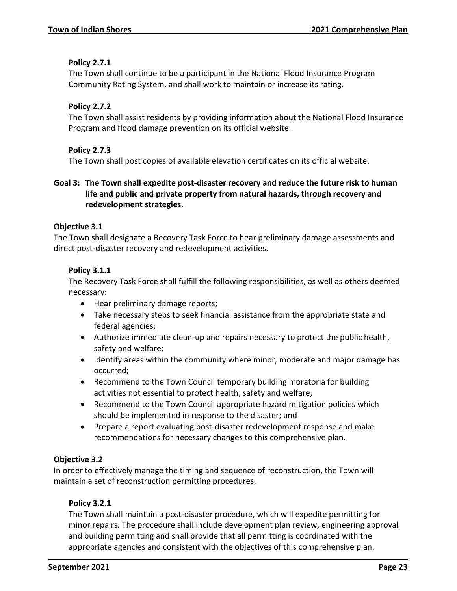# **Policy 2.7.1**

The Town shall continue to be a participant in the National Flood Insurance Program Community Rating System, and shall work to maintain or increase its rating.

# **Policy 2.7.2**

The Town shall assist residents by providing information about the National Flood Insurance Program and flood damage prevention on its official website.

# **Policy 2.7.3**

The Town shall post copies of available elevation certificates on its official website.

# **Goal 3: The Town shall expedite post-disaster recovery and reduce the future risk to human life and public and private property from natural hazards, through recovery and redevelopment strategies.**

# **Objective 3.1**

The Town shall designate a Recovery Task Force to hear preliminary damage assessments and direct post-disaster recovery and redevelopment activities.

# **Policy 3.1.1**

The Recovery Task Force shall fulfill the following responsibilities, as well as others deemed necessary:

- Hear preliminary damage reports;
- Take necessary steps to seek financial assistance from the appropriate state and federal agencies;
- Authorize immediate clean-up and repairs necessary to protect the public health, safety and welfare;
- Identify areas within the community where minor, moderate and major damage has occurred;
- Recommend to the Town Council temporary building moratoria for building activities not essential to protect health, safety and welfare;
- Recommend to the Town Council appropriate hazard mitigation policies which should be implemented in response to the disaster; and
- Prepare a report evaluating post-disaster redevelopment response and make recommendations for necessary changes to this comprehensive plan.

# **Objective 3.2**

In order to effectively manage the timing and sequence of reconstruction, the Town will maintain a set of reconstruction permitting procedures.

# **Policy 3.2.1**

The Town shall maintain a post-disaster procedure, which will expedite permitting for minor repairs. The procedure shall include development plan review, engineering approval and building permitting and shall provide that all permitting is coordinated with the appropriate agencies and consistent with the objectives of this comprehensive plan.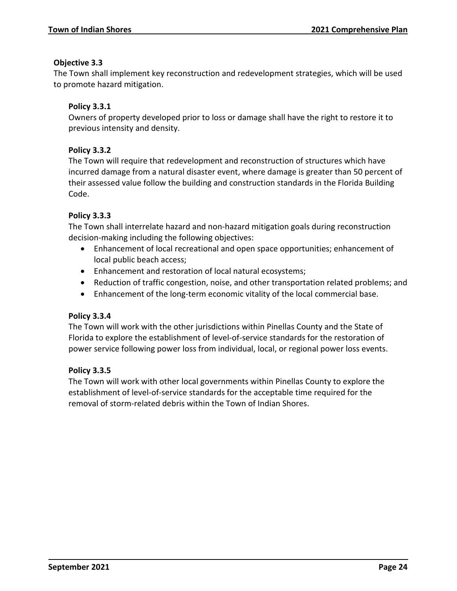# **Objective 3.3**

The Town shall implement key reconstruction and redevelopment strategies, which will be used to promote hazard mitigation.

# **Policy 3.3.1**

Owners of property developed prior to loss or damage shall have the right to restore it to previous intensity and density.

# **Policy 3.3.2**

The Town will require that redevelopment and reconstruction of structures which have incurred damage from a natural disaster event, where damage is greater than 50 percent of their assessed value follow the building and construction standards in the Florida Building Code.

# **Policy 3.3.3**

The Town shall interrelate hazard and non-hazard mitigation goals during reconstruction decision-making including the following objectives:

- Enhancement of local recreational and open space opportunities; enhancement of local public beach access;
- Enhancement and restoration of local natural ecosystems;
- Reduction of traffic congestion, noise, and other transportation related problems; and
- Enhancement of the long-term economic vitality of the local commercial base.

# **Policy 3.3.4**

The Town will work with the other jurisdictions within Pinellas County and the State of Florida to explore the establishment of level-of-service standards for the restoration of power service following power loss from individual, local, or regional power loss events.

# **Policy 3.3.5**

The Town will work with other local governments within Pinellas County to explore the establishment of level-of-service standards for the acceptable time required for the removal of storm-related debris within the Town of Indian Shores.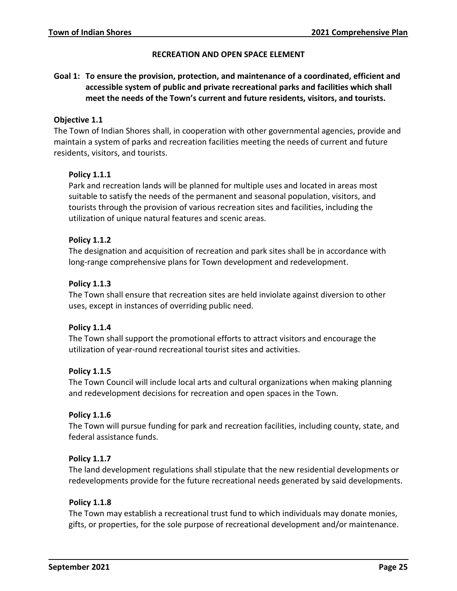### **RECREATION AND OPEN SPACE ELEMENT**

# <span id="page-27-0"></span>**Goal 1: To ensure the provision, protection, and maintenance of a coordinated, efficient and accessible system of public and private recreational parks and facilities which shall meet the needs of the Town's current and future residents, visitors, and tourists.**

### **Objective 1.1**

The Town of Indian Shores shall, in cooperation with other governmental agencies, provide and maintain a system of parks and recreation facilities meeting the needs of current and future residents, visitors, and tourists.

### **Policy 1.1.1**

Park and recreation lands will be planned for multiple uses and located in areas most suitable to satisfy the needs of the permanent and seasonal population, visitors, and tourists through the provision of various recreation sites and facilities, including the utilization of unique natural features and scenic areas.

### **Policy 1.1.2**

The designation and acquisition of recreation and park sites shall be in accordance with long-range comprehensive plans for Town development and redevelopment.

### **Policy 1.1.3**

The Town shall ensure that recreation sites are held inviolate against diversion to other uses, except in instances of overriding public need.

### **Policy 1.1.4**

The Town shall support the promotional efforts to attract visitors and encourage the utilization of year-round recreational tourist sites and activities.

### **Policy 1.1.5**

The Town Council will include local arts and cultural organizations when making planning and redevelopment decisions for recreation and open spaces in the Town.

### **Policy 1.1.6**

The Town will pursue funding for park and recreation facilities, including county, state, and federal assistance funds.

### **Policy 1.1.7**

The land development regulations shall stipulate that the new residential developments or redevelopments provide for the future recreational needs generated by said developments.

### **Policy 1.1.8**

The Town may establish a recreational trust fund to which individuals may donate monies, gifts, or properties, for the sole purpose of recreational development and/or maintenance.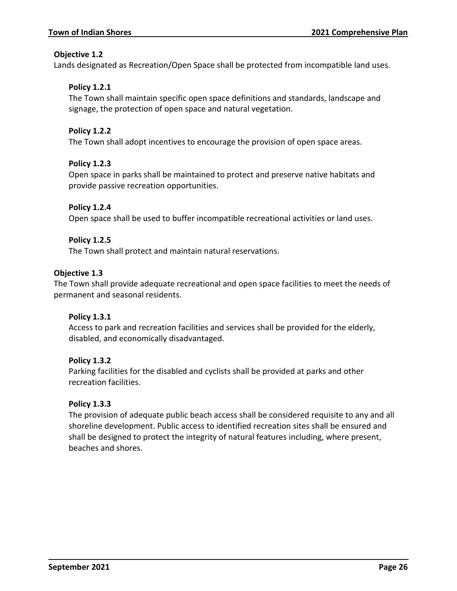# **Objective 1.2**

Lands designated as Recreation/Open Space shall be protected from incompatible land uses.

# **Policy 1.2.1**

The Town shall maintain specific open space definitions and standards, landscape and signage, the protection of open space and natural vegetation.

# **Policy 1.2.2**

The Town shall adopt incentives to encourage the provision of open space areas.

# **Policy 1.2.3**

Open space in parks shall be maintained to protect and preserve native habitats and provide passive recreation opportunities.

# **Policy 1.2.4**

Open space shall be used to buffer incompatible recreational activities or land uses.

# **Policy 1.2.5**

The Town shall protect and maintain natural reservations.

# **Objective 1.3**

The Town shall provide adequate recreational and open space facilities to meet the needs of permanent and seasonal residents.

### **Policy 1.3.1**

Access to park and recreation facilities and services shall be provided for the elderly, disabled, and economically disadvantaged.

### **Policy 1.3.2**

Parking facilities for the disabled and cyclists shall be provided at parks and other recreation facilities.

### **Policy 1.3.3**

The provision of adequate public beach access shall be considered requisite to any and all shoreline development. Public access to identified recreation sites shall be ensured and shall be designed to protect the integrity of natural features including, where present, beaches and shores.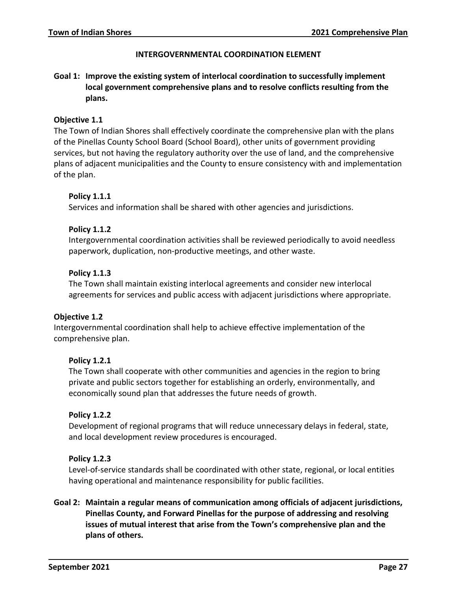### **INTERGOVERNMENTAL COORDINATION ELEMENT**

# <span id="page-29-0"></span>**Goal 1: Improve the existing system of interlocal coordination to successfully implement local government comprehensive plans and to resolve conflicts resulting from the plans.**

### **Objective 1.1**

The Town of Indian Shores shall effectively coordinate the comprehensive plan with the plans of the Pinellas County School Board (School Board), other units of government providing services, but not having the regulatory authority over the use of land, and the comprehensive plans of adjacent municipalities and the County to ensure consistency with and implementation of the plan.

### **Policy 1.1.1**

Services and information shall be shared with other agencies and jurisdictions.

### **Policy 1.1.2**

Intergovernmental coordination activities shall be reviewed periodically to avoid needless paperwork, duplication, non-productive meetings, and other waste.

### **Policy 1.1.3**

The Town shall maintain existing interlocal agreements and consider new interlocal agreements for services and public access with adjacent jurisdictions where appropriate.

### **Objective 1.2**

Intergovernmental coordination shall help to achieve effective implementation of the comprehensive plan.

### **Policy 1.2.1**

The Town shall cooperate with other communities and agencies in the region to bring private and public sectors together for establishing an orderly, environmentally, and economically sound plan that addresses the future needs of growth.

### **Policy 1.2.2**

Development of regional programs that will reduce unnecessary delays in federal, state, and local development review procedures is encouraged.

### **Policy 1.2.3**

Level-of-service standards shall be coordinated with other state, regional, or local entities having operational and maintenance responsibility for public facilities.

**Goal 2: Maintain a regular means of communication among officials of adjacent jurisdictions, Pinellas County, and Forward Pinellas for the purpose of addressing and resolving issues of mutual interest that arise from the Town's comprehensive plan and the plans of others.**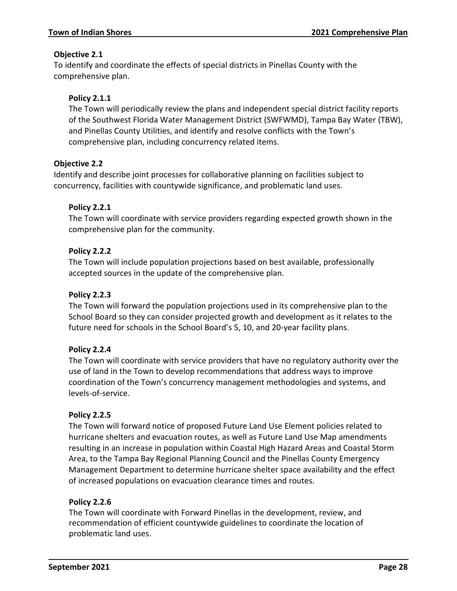# **Objective 2.1**

To identify and coordinate the effects of special districts in Pinellas County with the comprehensive plan.

# **Policy 2.1.1**

The Town will periodically review the plans and independent special district facility reports of the Southwest Florida Water Management District (SWFWMD), Tampa Bay Water (TBW), and Pinellas County Utilities, and identify and resolve conflicts with the Town's comprehensive plan, including concurrency related items.

# **Objective 2.2**

Identify and describe joint processes for collaborative planning on facilities subject to concurrency, facilities with countywide significance, and problematic land uses.

# **Policy 2.2.1**

The Town will coordinate with service providers regarding expected growth shown in the comprehensive plan for the community.

# **Policy 2.2.2**

The Town will include population projections based on best available, professionally accepted sources in the update of the comprehensive plan.

# **Policy 2.2.3**

The Town will forward the population projections used in its comprehensive plan to the School Board so they can consider projected growth and development as it relates to the future need for schools in the School Board's 5, 10, and 20-year facility plans.

# **Policy 2.2.4**

The Town will coordinate with service providers that have no regulatory authority over the use of land in the Town to develop recommendations that address ways to improve coordination of the Town's concurrency management methodologies and systems, and levels-of-service.

### **Policy 2.2.5**

The Town will forward notice of proposed Future Land Use Element policies related to hurricane shelters and evacuation routes, as well as Future Land Use Map amendments resulting in an increase in population within Coastal High Hazard Areas and Coastal Storm Area, to the Tampa Bay Regional Planning Council and the Pinellas County Emergency Management Department to determine hurricane shelter space availability and the effect of increased populations on evacuation clearance times and routes.

# **Policy 2.2.6**

The Town will coordinate with Forward Pinellas in the development, review, and recommendation of efficient countywide guidelines to coordinate the location of problematic land uses.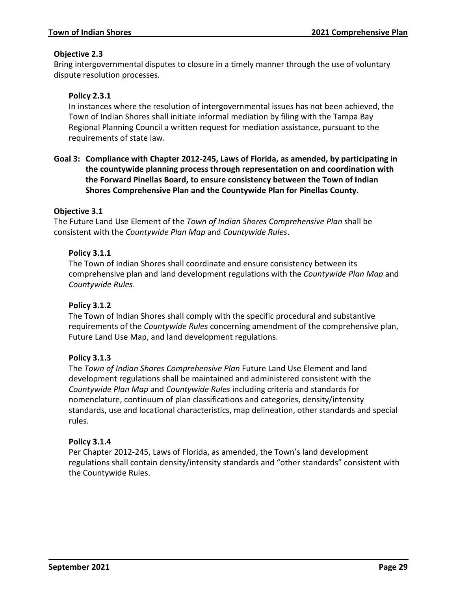# **Objective 2.3**

Bring intergovernmental disputes to closure in a timely manner through the use of voluntary dispute resolution processes.

# **Policy 2.3.1**

In instances where the resolution of intergovernmental issues has not been achieved, the Town of Indian Shores shall initiate informal mediation by filing with the Tampa Bay Regional Planning Council a written request for mediation assistance, pursuant to the requirements of state law.

# **Goal 3: Compliance with Chapter 2012-245, Laws of Florida, as amended, by participating in the countywide planning process through representation on and coordination with the Forward Pinellas Board, to ensure consistency between the Town of Indian Shores Comprehensive Plan and the Countywide Plan for Pinellas County.**

### **Objective 3.1**

The Future Land Use Element of the *Town of Indian Shores Comprehensive Plan* shall be consistent with the *Countywide Plan Map* and *Countywide Rules*.

### **Policy 3.1.1**

The Town of Indian Shores shall coordinate and ensure consistency between its comprehensive plan and land development regulations with the *Countywide Plan Map* and *Countywide Rules*.

### **Policy 3.1.2**

The Town of Indian Shores shall comply with the specific procedural and substantive requirements of the *Countywide Rules* concerning amendment of the comprehensive plan, Future Land Use Map, and land development regulations.

### **Policy 3.1.3**

The *Town of Indian Shores Comprehensive Plan* Future Land Use Element and land development regulations shall be maintained and administered consistent with the *Countywide Plan Map* and *Countywide Rules* including criteria and standards for nomenclature, continuum of plan classifications and categories, density/intensity standards, use and locational characteristics, map delineation, other standards and special rules.

### **Policy 3.1.4**

Per Chapter 2012-245, Laws of Florida, as amended, the Town's land development regulations shall contain density/intensity standards and "other standards" consistent with the Countywide Rules.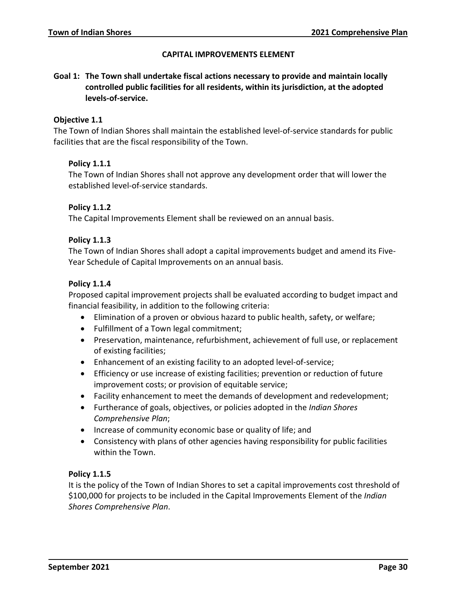### **CAPITAL IMPROVEMENTS ELEMENT**

<span id="page-32-0"></span>**Goal 1: The Town shall undertake fiscal actions necessary to provide and maintain locally controlled public facilities for all residents, within its jurisdiction, at the adopted levels-of-service.**

### **Objective 1.1**

The Town of Indian Shores shall maintain the established level-of-service standards for public facilities that are the fiscal responsibility of the Town.

### **Policy 1.1.1**

The Town of Indian Shores shall not approve any development order that will lower the established level-of-service standards.

### **Policy 1.1.2**

The Capital Improvements Element shall be reviewed on an annual basis.

### **Policy 1.1.3**

The Town of Indian Shores shall adopt a capital improvements budget and amend its Five-Year Schedule of Capital Improvements on an annual basis.

### **Policy 1.1.4**

Proposed capital improvement projects shall be evaluated according to budget impact and financial feasibility, in addition to the following criteria:

- Elimination of a proven or obvious hazard to public health, safety, or welfare;
- Fulfillment of a Town legal commitment;
- Preservation, maintenance, refurbishment, achievement of full use, or replacement of existing facilities;
- Enhancement of an existing facility to an adopted level-of-service;
- Efficiency or use increase of existing facilities; prevention or reduction of future improvement costs; or provision of equitable service;
- Facility enhancement to meet the demands of development and redevelopment;
- Furtherance of goals, objectives, or policies adopted in the *Indian Shores Comprehensive Plan*;
- Increase of community economic base or quality of life; and
- Consistency with plans of other agencies having responsibility for public facilities within the Town.

### **Policy 1.1.5**

It is the policy of the Town of Indian Shores to set a capital improvements cost threshold of \$100,000 for projects to be included in the Capital Improvements Element of the *Indian Shores Comprehensive Plan*.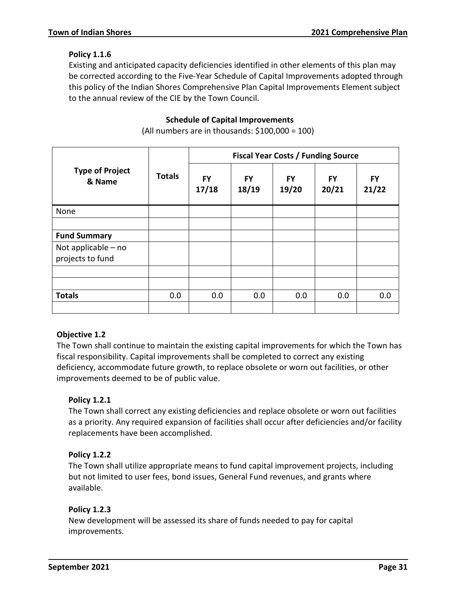# **Policy 1.1.6**

Existing and anticipated capacity deficiencies identified in other elements of this plan may be corrected according to the Five-Year Schedule of Capital Improvements adopted through this policy of the Indian Shores Comprehensive Plan Capital Improvements Element subject to the annual review of the CIE by the Town Council.

# **Schedule of Capital Improvements**

**Type of Project & Name Totals Fiscal Year Costs / Funding Source FY 17/18 FY 18/19 FY 19/20 FY 20/21 FY 21/22** None **Fund Summary** Not applicable – no projects to fund **Totals** | 0.0 | 0.0 | 0.0 | 0.0 | 0.0 | 0.0

(All numbers are in thousands: \$100,000 = 100)

# **Objective 1.2**

The Town shall continue to maintain the existing capital improvements for which the Town has fiscal responsibility. Capital improvements shall be completed to correct any existing deficiency, accommodate future growth, to replace obsolete or worn out facilities, or other improvements deemed to be of public value.

# **Policy 1.2.1**

The Town shall correct any existing deficiencies and replace obsolete or worn out facilities as a priority. Any required expansion of facilities shall occur after deficiencies and/or facility replacements have been accomplished.

# **Policy 1.2.2**

The Town shall utilize appropriate means to fund capital improvement projects, including but not limited to user fees, bond issues, General Fund revenues, and grants where available.

# **Policy 1.2.3**

New development will be assessed its share of funds needed to pay for capital improvements.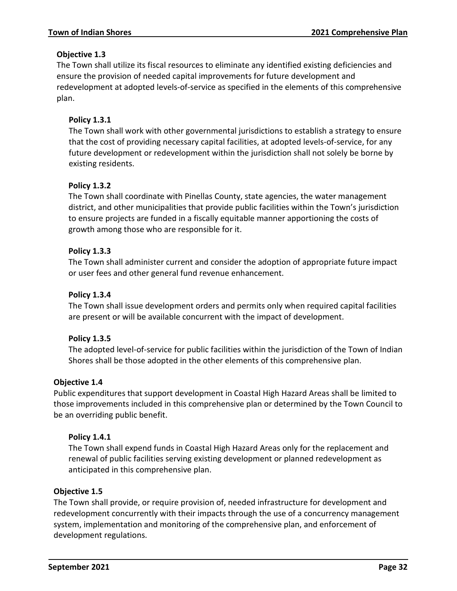# **Objective 1.3**

The Town shall utilize its fiscal resources to eliminate any identified existing deficiencies and ensure the provision of needed capital improvements for future development and redevelopment at adopted levels-of-service as specified in the elements of this comprehensive plan.

# **Policy 1.3.1**

The Town shall work with other governmental jurisdictions to establish a strategy to ensure that the cost of providing necessary capital facilities, at adopted levels-of-service, for any future development or redevelopment within the jurisdiction shall not solely be borne by existing residents.

# **Policy 1.3.2**

The Town shall coordinate with Pinellas County, state agencies, the water management district, and other municipalities that provide public facilities within the Town's jurisdiction to ensure projects are funded in a fiscally equitable manner apportioning the costs of growth among those who are responsible for it.

# **Policy 1.3.3**

The Town shall administer current and consider the adoption of appropriate future impact or user fees and other general fund revenue enhancement.

# **Policy 1.3.4**

The Town shall issue development orders and permits only when required capital facilities are present or will be available concurrent with the impact of development.

# **Policy 1.3.5**

The adopted level-of-service for public facilities within the jurisdiction of the Town of Indian Shores shall be those adopted in the other elements of this comprehensive plan.

# **Objective 1.4**

Public expenditures that support development in Coastal High Hazard Areas shall be limited to those improvements included in this comprehensive plan or determined by the Town Council to be an overriding public benefit.

# **Policy 1.4.1**

The Town shall expend funds in Coastal High Hazard Areas only for the replacement and renewal of public facilities serving existing development or planned redevelopment as anticipated in this comprehensive plan.

# **Objective 1.5**

The Town shall provide, or require provision of, needed infrastructure for development and redevelopment concurrently with their impacts through the use of a concurrency management system, implementation and monitoring of the comprehensive plan, and enforcement of development regulations.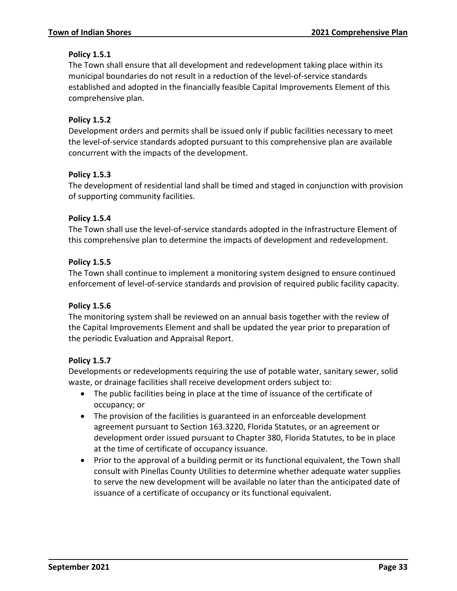# **Policy 1.5.1**

The Town shall ensure that all development and redevelopment taking place within its municipal boundaries do not result in a reduction of the level-of-service standards established and adopted in the financially feasible Capital Improvements Element of this comprehensive plan.

# **Policy 1.5.2**

Development orders and permits shall be issued only if public facilities necessary to meet the level-of-service standards adopted pursuant to this comprehensive plan are available concurrent with the impacts of the development.

### **Policy 1.5.3**

The development of residential land shall be timed and staged in conjunction with provision of supporting community facilities.

### **Policy 1.5.4**

The Town shall use the level-of-service standards adopted in the Infrastructure Element of this comprehensive plan to determine the impacts of development and redevelopment.

### **Policy 1.5.5**

The Town shall continue to implement a monitoring system designed to ensure continued enforcement of level-of-service standards and provision of required public facility capacity.

### **Policy 1.5.6**

The monitoring system shall be reviewed on an annual basis together with the review of the Capital Improvements Element and shall be updated the year prior to preparation of the periodic Evaluation and Appraisal Report.

### **Policy 1.5.7**

Developments or redevelopments requiring the use of potable water, sanitary sewer, solid waste, or drainage facilities shall receive development orders subject to:

- The public facilities being in place at the time of issuance of the certificate of occupancy; or
- The provision of the facilities is guaranteed in an enforceable development agreement pursuant to Section 163.3220, Florida Statutes, or an agreement or development order issued pursuant to Chapter 380, Florida Statutes, to be in place at the time of certificate of occupancy issuance.
- Prior to the approval of a building permit or its functional equivalent, the Town shall consult with Pinellas County Utilities to determine whether adequate water supplies to serve the new development will be available no later than the anticipated date of issuance of a certificate of occupancy or its functional equivalent.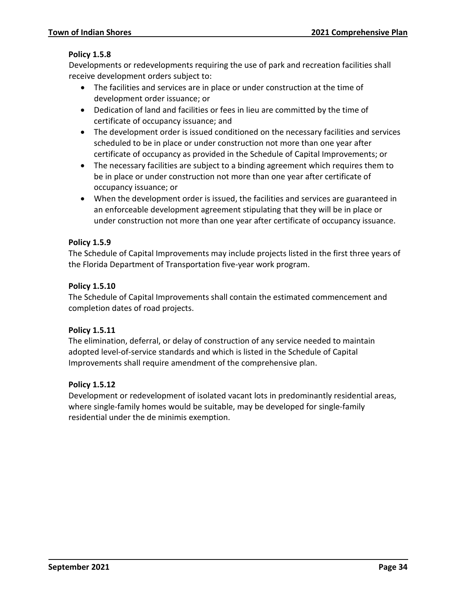# **Policy 1.5.8**

Developments or redevelopments requiring the use of park and recreation facilities shall receive development orders subject to:

- The facilities and services are in place or under construction at the time of development order issuance; or
- Dedication of land and facilities or fees in lieu are committed by the time of certificate of occupancy issuance; and
- The development order is issued conditioned on the necessary facilities and services scheduled to be in place or under construction not more than one year after certificate of occupancy as provided in the Schedule of Capital Improvements; or
- The necessary facilities are subject to a binding agreement which requires them to be in place or under construction not more than one year after certificate of occupancy issuance; or
- When the development order is issued, the facilities and services are guaranteed in an enforceable development agreement stipulating that they will be in place or under construction not more than one year after certificate of occupancy issuance.

# **Policy 1.5.9**

The Schedule of Capital Improvements may include projects listed in the first three years of the Florida Department of Transportation five-year work program.

# **Policy 1.5.10**

The Schedule of Capital Improvements shall contain the estimated commencement and completion dates of road projects.

# **Policy 1.5.11**

The elimination, deferral, or delay of construction of any service needed to maintain adopted level-of-service standards and which is listed in the Schedule of Capital Improvements shall require amendment of the comprehensive plan.

# **Policy 1.5.12**

Development or redevelopment of isolated vacant lots in predominantly residential areas, where single-family homes would be suitable, may be developed for single-family residential under the de minimis exemption.